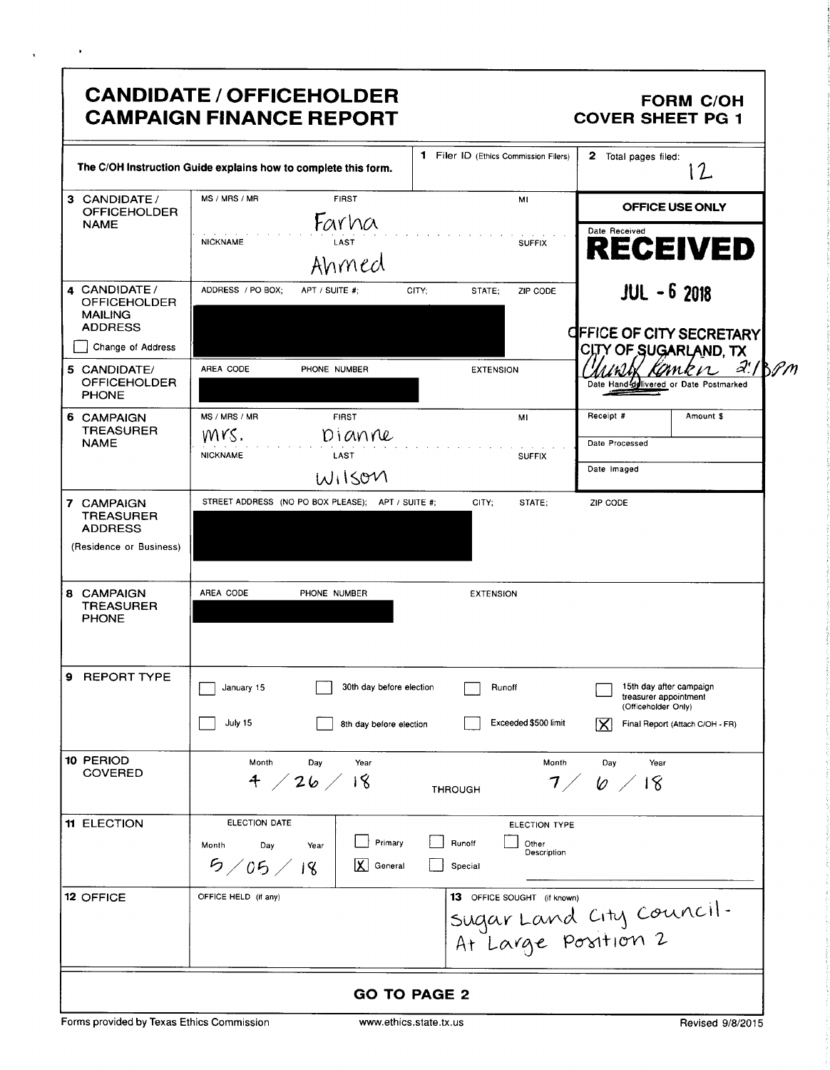|                                                                                               | <b>CANDIDATE / OFFICEHOLDER</b><br><b>CAMPAIGN FINANCE REPORT</b>                    |                                                            | <b>FORM C/OH</b><br><b>COVER SHEET PG 1</b>                                                                     |
|-----------------------------------------------------------------------------------------------|--------------------------------------------------------------------------------------|------------------------------------------------------------|-----------------------------------------------------------------------------------------------------------------|
|                                                                                               | The C/OH Instruction Guide explains how to complete this form.                       | <b>1</b> Filer ID (Ethics Commission Filers)               | 2.<br>Total pages filed:<br>$\mathcal{L}$                                                                       |
| 3 CANDIDATE /<br><b>OFFICEHOLDER</b><br><b>NAME</b>                                           | MS / MRS / MR<br><b>FIRST</b><br>Farha<br><b>NICKNAME</b><br>LAST<br>Ahmed           | MI<br><b>SUFFIX</b>                                        | <b>OFFICE USE ONLY</b><br>Date Received<br><b>RECEIVED</b>                                                      |
| 4 CANDIDATE /<br><b>OFFICEHOLDER</b><br><b>MAILING</b><br><b>ADDRESS</b><br>Change of Address | ADDRESS / PO BOX;<br>APT / SUITE #;                                                  | CITY;<br>STATE:<br>ZIP CODE                                | <b>JUL - 6 2018</b><br><b>CIFFICE OF CITY SECRETARY</b><br>CITY OF SUGARLAND, TX                                |
| 5 CANDIDATE/<br><b>OFFICEHOLDER</b><br><b>PHONE</b>                                           | AREA CODE<br>PHONE NUMBER                                                            | <b>EXTENSION</b>                                           | $a'/b$ Pm<br>mrn<br>Date Hand-delivered or Date Postmarked                                                      |
| 6 CAMPAIGN<br><b>TREASURER</b><br><b>NAME</b>                                                 | MS / MRS / MR<br><b>FIRST</b><br>Mrs.<br>Dianne<br><b>NICKNAME</b><br>LAST<br>WIISOM | MI<br><b>SUFFIX</b>                                        | Receipt #<br>Amount \$<br>Date Processed<br>Date Imaged                                                         |
| 7 CAMPAIGN<br><b>TREASURER</b><br><b>ADDRESS</b><br>(Residence or Business)                   | STREET ADDRESS (NO PO BOX PLEASE); APT / SUITE #;                                    | CITY;<br>STATE:                                            | ZIP CODE                                                                                                        |
| 8 CAMPAIGN<br><b>TREASURER</b><br><b>PHONE</b>                                                | AREA CODE<br>PHONE NUMBER                                                            | <b>EXTENSION</b>                                           |                                                                                                                 |
| 9.<br><b>REPORT TYPE</b>                                                                      | 30th day before election<br>January 15<br>July 15<br>8th day before election         | Runoff<br>Exceeded \$500 limit                             | 15th day after campaign<br>treasurer appointment<br>(Officeholder Only)<br>Final Report (Attach C/OH - FR)<br>х |
| 10 PERIOD<br><b>COVERED</b>                                                                   | Month<br>Day<br>Year<br>4 / 26 / 18                                                  | Month<br><b>THROUGH</b>                                    | Day<br>Year<br>7/6/18                                                                                           |
| <b>11 ELECTION</b>                                                                            | ELECTION DATE<br>Primary<br>Month<br>Day<br>Year<br>5/05/18<br>K<br>General          | ELECTION TYPE<br>Runoff<br>Other<br>Description<br>Special |                                                                                                                 |
| 12 OFFICE                                                                                     | OFFICE HELD (if any)                                                                 | <b>13</b> OFFICE SOUGHT (if known)                         | sugar Land City Council.<br>At Large Position 2                                                                 |
|                                                                                               |                                                                                      | <b>GO TO PAGE 2</b>                                        |                                                                                                                 |

 $\bullet$ 

 $\ddot{\phantom{a}}$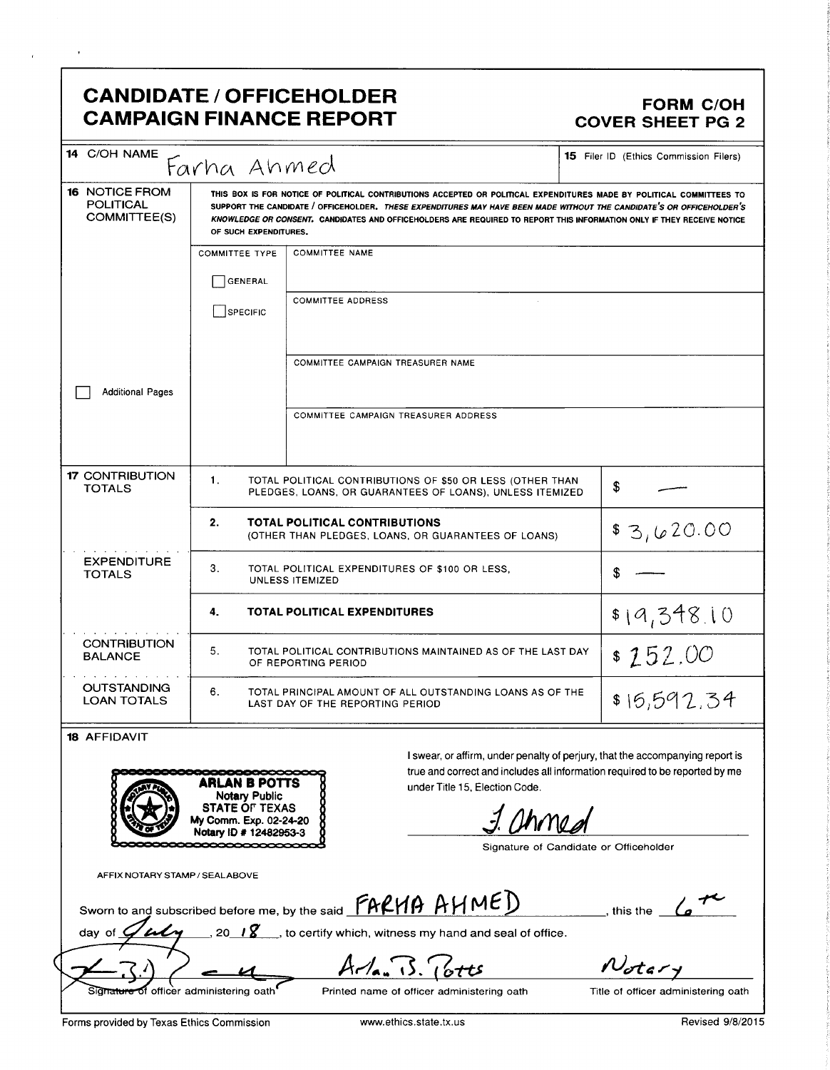# CANDIDATE / OFFICEHOLDER FORM C/OH CAMPAIGN FINANCE REPORT COVER SHEET PG 2

| 14 C/OH NAME                                              | Farha Ahmed                                                                                                                                                                                                                                                                                                                                                                                      |                                                                                                                       | 15 Filer ID (Ethics Commission Filers) |  |  |  |
|-----------------------------------------------------------|--------------------------------------------------------------------------------------------------------------------------------------------------------------------------------------------------------------------------------------------------------------------------------------------------------------------------------------------------------------------------------------------------|-----------------------------------------------------------------------------------------------------------------------|----------------------------------------|--|--|--|
| <b>16 NOTICE FROM</b><br><b>POLITICAL</b><br>COMMITTEE(S) | THIS BOX IS FOR NOTICE OF POLITICAL CONTRIBUTIONS ACCEPTED OR POLITICAL EXPENDITURES MADE BY POLITICAL COMMITTEES TO<br>SUPPORT THE CANDIDATE / OFFICEHOLDER, THESE EXPENDITURES MAY HAVE BEEN MADE WITHOUT THE CANDIDATE'S OR OFFICEHOLDER'S<br>KNOWLEDGE OR CONSENT. CANDIDATES AND OFFICEHOLDERS ARE REQUIRED TO REPORT THIS INFORMATION ONLY IF THEY RECEIVE NOTICE<br>OF SUCH EXPENDITURES. |                                                                                                                       |                                        |  |  |  |
|                                                           | <b>COMMITTEE TYPE</b>                                                                                                                                                                                                                                                                                                                                                                            | <b>COMMITTEE NAME</b>                                                                                                 |                                        |  |  |  |
|                                                           | <b>GENERAL</b>                                                                                                                                                                                                                                                                                                                                                                                   |                                                                                                                       |                                        |  |  |  |
|                                                           | SPECIFIC                                                                                                                                                                                                                                                                                                                                                                                         | <b>COMMITTEE ADDRESS</b>                                                                                              |                                        |  |  |  |
|                                                           |                                                                                                                                                                                                                                                                                                                                                                                                  | <b>COMMITTEE CAMPAIGN TREASURER NAME</b>                                                                              |                                        |  |  |  |
| <b>Additional Pages</b>                                   |                                                                                                                                                                                                                                                                                                                                                                                                  |                                                                                                                       |                                        |  |  |  |
|                                                           |                                                                                                                                                                                                                                                                                                                                                                                                  | <b>COMMITTEE CAMPAIGN TREASURER ADDRESS</b>                                                                           |                                        |  |  |  |
| <b>17 CONTRIBUTION</b><br><b>TOTALS</b>                   | 1 <sub>1</sub>                                                                                                                                                                                                                                                                                                                                                                                   | TOTAL POLITICAL CONTRIBUTIONS OF \$50 OR LESS (OTHER THAN<br>PLEDGES, LOANS, OR GUARANTEES OF LOANS), UNLESS ITEMIZED | \$                                     |  |  |  |
|                                                           | 2.                                                                                                                                                                                                                                                                                                                                                                                               | <b>TOTAL POLITICAL CONTRIBUTIONS</b><br>(OTHER THAN PLEDGES, LOANS, OR GUARANTEES OF LOANS)                           | \$3,620.00                             |  |  |  |
| <b>EXPENDITURE</b><br><b>TOTALS</b>                       | 3.<br>TOTAL POLITICAL EXPENDITURES OF \$100 OR LESS.<br><b>UNLESS ITEMIZED</b>                                                                                                                                                                                                                                                                                                                   |                                                                                                                       |                                        |  |  |  |
| \$19,348.10<br><b>TOTAL POLITICAL EXPENDITURES</b><br>4.  |                                                                                                                                                                                                                                                                                                                                                                                                  |                                                                                                                       |                                        |  |  |  |
| <b>CONTRIBUTION</b><br><b>BALANCE</b>                     | 5.<br>TOTAL POLITICAL CONTRIBUTIONS MAINTAINED AS OF THE LAST DAY<br>OF REPORTING PERIOD                                                                                                                                                                                                                                                                                                         |                                                                                                                       | \$152.00                               |  |  |  |
| <b>OUTSTANDING</b><br><b>LOAN TOTALS</b>                  | 6.                                                                                                                                                                                                                                                                                                                                                                                               | TOTAL PRINCIPAL AMOUNT OF ALL OUTSTANDING LOANS AS OF THE<br>\$15,592,34<br>LAST DAY OF THE REPORTING PERIOD          |                                        |  |  |  |
| <b>18 AFFIDAVIT</b>                                       |                                                                                                                                                                                                                                                                                                                                                                                                  |                                                                                                                       |                                        |  |  |  |

| <b>ARLAN B POTTS</b><br><b>Notary Public</b>                              | true and correct and includes all informat<br>under Title 15, Election Code. |
|---------------------------------------------------------------------------|------------------------------------------------------------------------------|
| <b>STATE OF TEXAS</b><br>My Comm. Exp. 02-24-20<br>Notary ID # 12482953-3 |                                                                              |
|                                                                           | Signature of Candidat                                                        |

<sup>I</sup> swear, or affirm, under penalty of perjury, that the accompanying report is true and correct and includes all information required to be reported by me under Title 15, Election Code.

Signature of Candidate or Officeholder

AFFIX NOTARY STAMP/ SEALABOVE

AFFIX NOTARY STAMP/SEALABOVE<br>Sworn to and subscribed before me, by the said  $\frac{\mathcal{F}ARMB}{}$   $\overline{AH}$ 

PUQ ALIM

, this the  $\overline{\phantom{a}}$ 

Sworn to and subscribed before me, by the said  $\frac{\text{F}_\text{A}\text{C}_\text{A}}{\text{F}_\text{A}\text{C}_\text{B}}$  (day of  $\frac{\text{C}_\text{A}\text{C}_\text{A}}{\text{C}_\text{B}}$  , to certify which, witness my hand and seal of office.

 $A - I_{a}$  15. (6tts

 $N_{otary}$ 

officer administering oath<sup>f</sup> Printed name of officer administering oath Title of officer administering oath

Forms provided by Texas Ethics Commission www.ethics.state.tx.us Revised 9/8/2015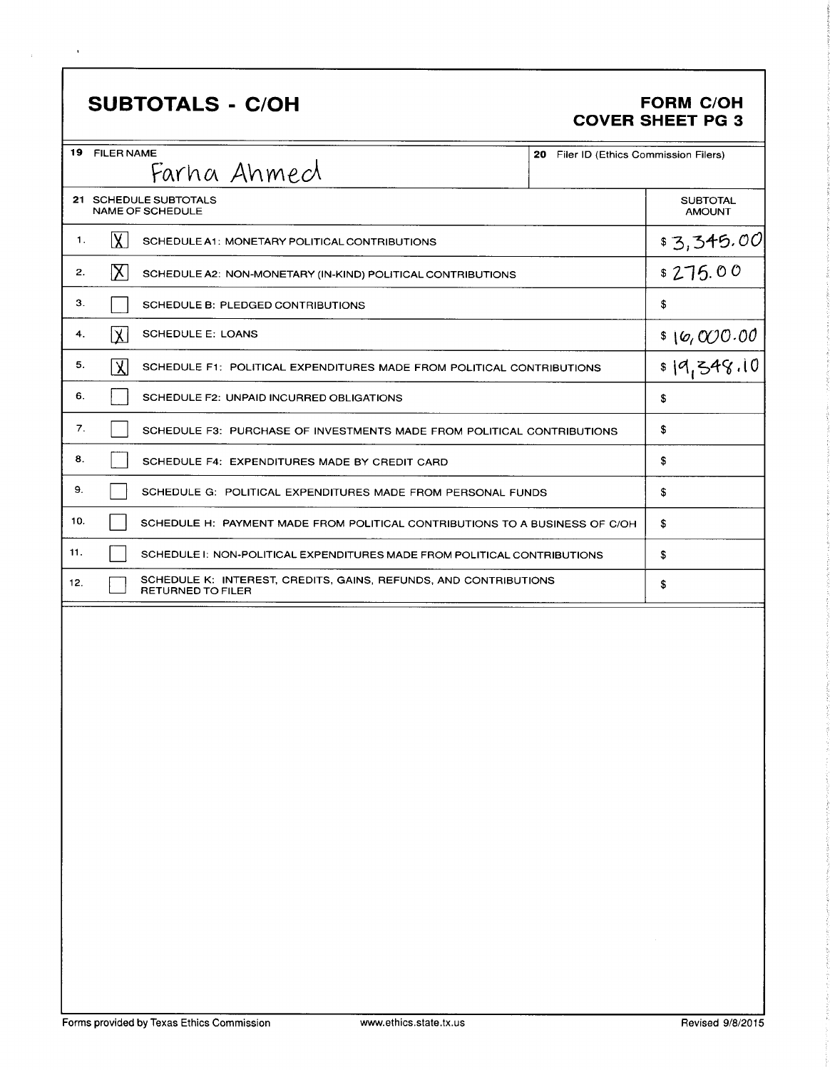## **SUBTOTALS - C/OH**

 $\hat{\mathcal{A}}$ 

#### FORM C/OH **COVER SHEET PG 3**

| 19 FILER NAME<br>20 Filer ID (Ethics Commission Filers)<br>Farha Ahmecl                             |                                      |
|-----------------------------------------------------------------------------------------------------|--------------------------------------|
| 21 SCHEDULE SUBTOTALS<br><b>NAME OF SCHEDULE</b>                                                    | <b>SUBTOTAL</b><br><b>AMOUNT</b>     |
| $\overline{\mathsf{X}}$<br>1.<br>SCHEDULE A1: MONETARY POLITICAL CONTRIBUTIONS                      | \$3,345.00                           |
| IX<br>2.<br>SCHEDULE A2: NON-MONETARY (IN-KIND) POLITICAL CONTRIBUTIONS                             | \$275.00                             |
| З.<br>SCHEDULE B: PLEDGED CONTRIBUTIONS                                                             | \$                                   |
| $\overline{\mathbf{X}}$<br><b>SCHEDULE E: LOANS</b><br>4.                                           |                                      |
| 5.<br>入<br>SCHEDULE F1: POLITICAL EXPENDITURES MADE FROM POLITICAL CONTRIBUTIONS                    | $\frac{$(0,000.00)}{$(0,000.000) $}$ |
| 6.<br>SCHEDULE F2: UNPAID INCURRED OBLIGATIONS                                                      | \$                                   |
| 7.<br>SCHEDULE F3: PURCHASE OF INVESTMENTS MADE FROM POLITICAL CONTRIBUTIONS                        | \$                                   |
| 8.<br>SCHEDULE F4: EXPENDITURES MADE BY CREDIT CARD                                                 | \$                                   |
| 9.<br>SCHEDULE G: POLITICAL EXPENDITURES MADE FROM PERSONAL FUNDS                                   | \$                                   |
| 10.<br>SCHEDULE H: PAYMENT MADE FROM POLITICAL CONTRIBUTIONS TO A BUSINESS OF C/OH                  | \$                                   |
| 11.<br>SCHEDULE I: NON-POLITICAL EXPENDITURES MADE FROM POLITICAL CONTRIBUTIONS                     | \$                                   |
| SCHEDULE K: INTEREST, CREDITS, GAINS, REFUNDS, AND CONTRIBUTIONS<br>12.<br><b>RETURNED TO FILER</b> | \$                                   |
|                                                                                                     |                                      |
|                                                                                                     |                                      |
|                                                                                                     |                                      |
|                                                                                                     |                                      |
|                                                                                                     |                                      |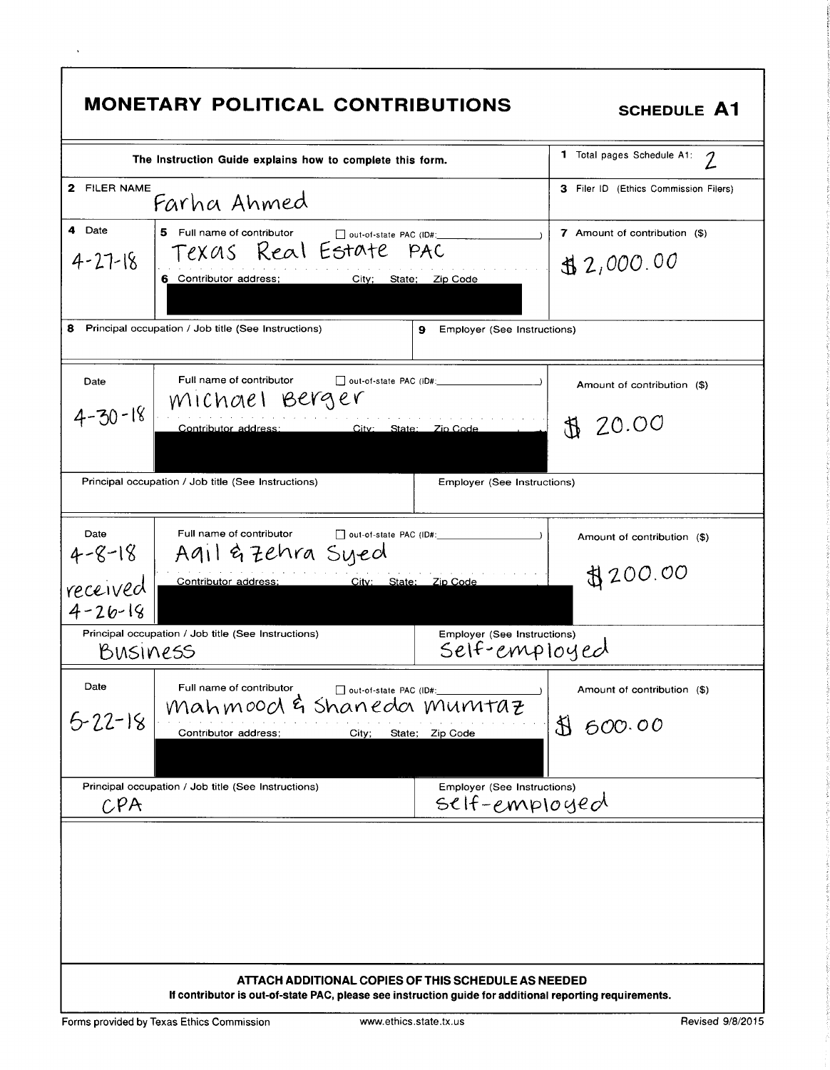| <b>MONETARY POLITICAL CONTRIBUTIONS</b>                                                                                                                                                                                                                                                          | <b>SCHEDULE A1</b>                                    |
|--------------------------------------------------------------------------------------------------------------------------------------------------------------------------------------------------------------------------------------------------------------------------------------------------|-------------------------------------------------------|
| The Instruction Guide explains how to complete this form.                                                                                                                                                                                                                                        | 1 Total pages Schedule A1:                            |
| 2 FILER NAME<br>Farha Ahmed                                                                                                                                                                                                                                                                      | <b>3</b> Filer ID (Ethics Commission Filers)          |
| 4 Date<br>5 Full name of contributor<br>out-of-state PAC (ID#:<br>Texas Real Estate pac<br>$4 - 27 - 18$<br>6 Contributor address;<br>City;<br>Zip Code<br>State;<br>8<br>Principal occupation / Job title (See Instructions)<br>Employer (See Instructions)<br>9                                | 7 Amount of contribution (\$)<br>32,000.00            |
| Full name of contributor<br>$\Box$ out-of-state PAC (ID#:<br>Date<br>MIChael Berger<br>$4 - 30 - 18$<br>Contributor address:<br>City: State: Zip Code<br>Principal occupation / Job title (See Instructions)<br>Employer (See Instructions)                                                      | Amount of contribution (\$)<br>20.00<br>$\mathcal{F}$ |
| Full name of contributor<br>Date<br>out-of-state PAC (ID#:<br>Agil & Zehra Syed<br>$4 - 8 - 18$<br>Contributor address:<br>City: State: Zip Code<br>received<br>$4 - 26 - 18$<br>Principal occupation / Job title (See Instructions)<br>Employer (See Instructions)<br>Self-employed<br>BUSINESS | Amount of contribution (\$)<br>\$200.00               |
| Date<br>Full name of contributor<br>out-of-state PAC (ID#:<br>mahmood & shaneda munitaz<br>$5 - 22 - 18$<br>Contributor address;<br>State; Zip Code<br>City;<br>Principal occupation / Job title (See Instructions)<br>Employer (See Instructions)<br>$self-em$ ployed                           | Amount of contribution (\$)<br>800.00                 |
| $\mathcal{C}$ PA<br>ATTACH ADDITIONAL COPIES OF THIS SCHEDULE AS NEEDED<br>If contributor is out-of-state PAC, please see instruction guide for additional reporting requirements.                                                                                                               |                                                       |

 $\Gamma$ 

٦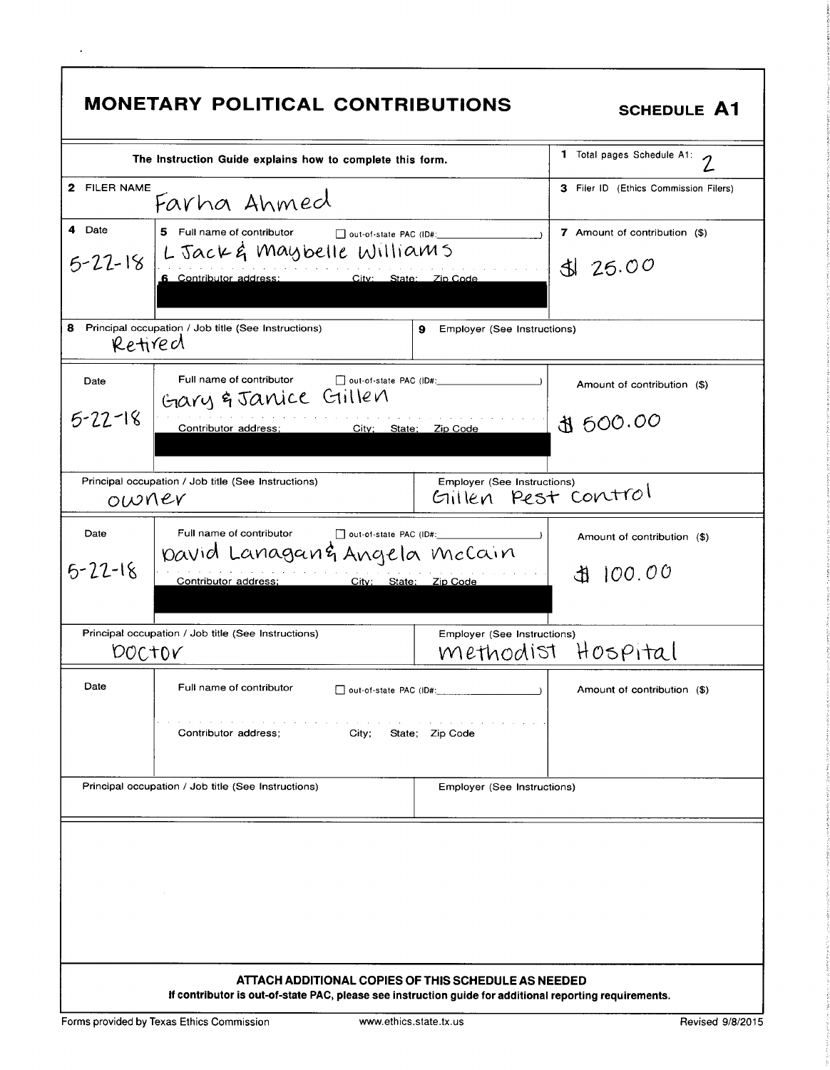|                         | <b>MONETARY POLITICAL CONTRIBUTIONS</b>                                                                                                      |                                                    | <b>SCHEDULE A1</b>                       |
|-------------------------|----------------------------------------------------------------------------------------------------------------------------------------------|----------------------------------------------------|------------------------------------------|
|                         | The Instruction Guide explains how to complete this form.                                                                                    |                                                    | 1 Total pages Schedule A1:<br>$\gamma$   |
| 2 FILER NAME            | Farha Ahmed                                                                                                                                  |                                                    | 3 Filer ID (Ethics Commission Filers)    |
| 4 Date<br>$5 - 22 - 18$ | 5 Full name of contributor<br>$\Box$ out-of-state PAC (ID#:<br>L Jack & Maybelle Williams<br>6 Contributor address:<br>City: State: Zip Code |                                                    | 7 Amount of contribution (\$)<br>3125.00 |
| 8<br>Retired            | Principal occupation / Job title (See Instructions)                                                                                          | Employer (See Instructions)<br>9                   |                                          |
| Date                    | Full name of contributor<br>Gary & Janice Gillen                                                                                             | $\Box$ out-of-state PAC (ID#:                      | Amount of contribution (\$)              |
| $5 - 22 - 18$           | Contributor address;<br>City; State: Zip Code                                                                                                |                                                    | \$ 600.00                                |
| owner                   | Principal occupation / Job title (See Instructions)                                                                                          | Employer (See Instructions)<br>Gillen Pest control |                                          |
| Date<br>$5 - 22 - 18$   | Full name of contributor<br>$\Box$ out-of-state PAC (ID#:<br>pavid Lanagan& Angela McCain<br>Contributor address;<br>City: State: Zip Code   |                                                    | Amount of contribution (\$)<br>100.00    |
| <b>DOCTOV</b>           | Principal occupation / Job title (See Instructions)                                                                                          | Employer (See Instructions)                        | methodist Hospital                       |
| Date                    | Full name of contributor<br>and a state and a state<br>Contributor address;<br>City;                                                         | State; Zip Code                                    | Amount of contribution (\$)              |
|                         | Principal occupation / Job title (See Instructions)                                                                                          | Employer (See Instructions)                        |                                          |
|                         | ATTACH ADDITIONAL COPIES OF THIS SCHEDULE AS NEEDED                                                                                          |                                                    |                                          |
|                         | If contributor is out-of-state PAC, please see instruction guide for additional reporting requirements.                                      |                                                    |                                          |

 $\cdot$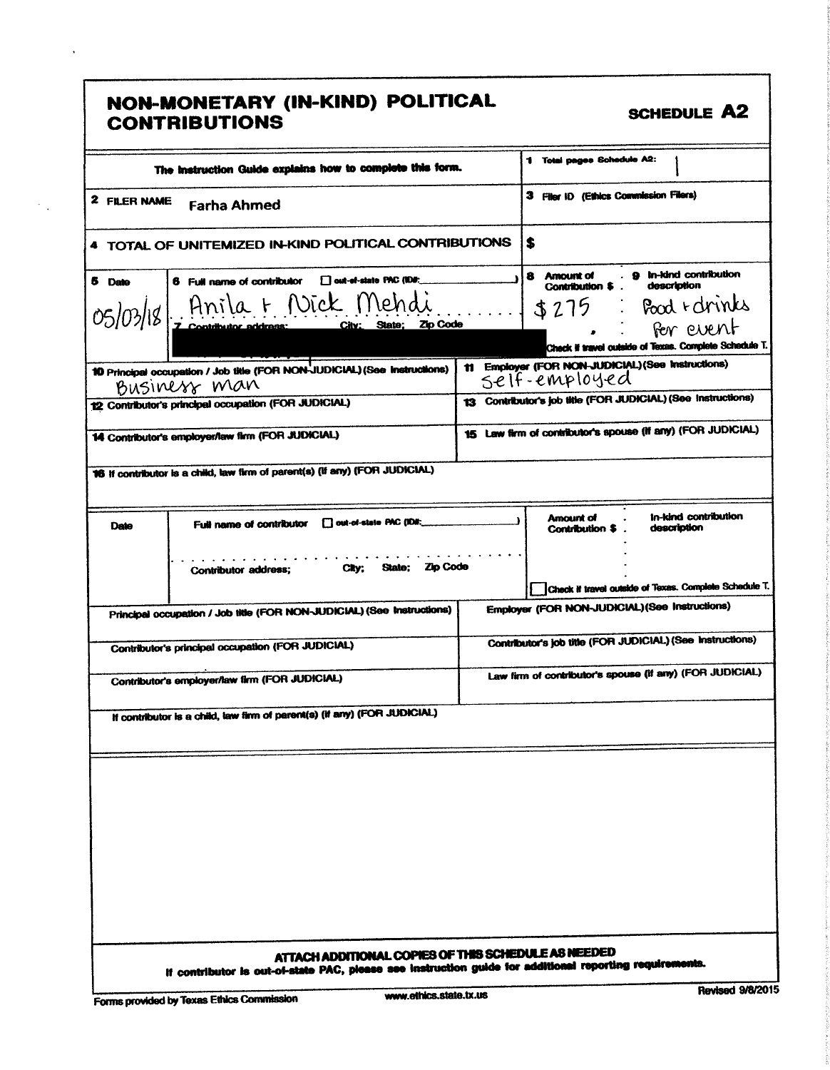|                     | NON-MONETARY (IN-KIND) POLITICAL<br><b>CONTRIBUTIONS</b>                                                | <b>SCHEDULE A2</b>                                                                                                                                                  |
|---------------------|---------------------------------------------------------------------------------------------------------|---------------------------------------------------------------------------------------------------------------------------------------------------------------------|
|                     | The instruction Guide explains how to complete this form.                                               | 1 Total pages Schedule A2:                                                                                                                                          |
| <b>2 FILER NAME</b> | <b>Farha Ahmed</b>                                                                                      | 3 Filer ID (Ethics Commission Filers)                                                                                                                               |
|                     | 4 TOTAL OF UNITEMIZED IN-KIND POLITICAL CONTRIBUTIONS                                                   | S                                                                                                                                                                   |
| 5 Date              | 6 Full name of contributor   out-ef-state PAC (IDE;<br>05/03/18 Anila + Nick Mendi                      | 8 Amount of . 9 In-kind contribution<br>description<br>Contribution \$<br>\$275 Pood rdrinks<br>For event<br>Check il travel outside of Texas. Complete Schedule T. |
|                     | 10 Principal occupation / Job title (FOR NON-JUDICIAL) (See Instructions)<br>Business man               | 11 Employer (FOR NON-JUDICIAL) (See Instructions)<br>self-employed                                                                                                  |
|                     | 12 Contributor's principal occupation (FOR JUDICIAL)                                                    | 13 Contributor's job title (FOR JUDICIAL) (See Instructions)                                                                                                        |
|                     | 14 Contributor's employer/taw firm (FOR JUDICIAL)                                                       | 15 Law firm of contributor's spouse (If any) (FOR JUDICIAL)                                                                                                         |
|                     | 16 If contributor is a child, law firm of parent(s) (If any) (FOR JUDICIAL)                             |                                                                                                                                                                     |
| Date                | <b>TI out-of-state PAC (ID#:</b><br>Full name of contributor                                            | in-kind contribution<br><b>Amount of</b><br>description<br>Contribution \$                                                                                          |
|                     | State: Zip Code<br>Cky:<br>Contributor address;                                                         | Check if travel outside of Texas. Complete Schedule T.                                                                                                              |
|                     | Principal occupation / Job title (FOR NON-JUDICIAL) (See Instructions)                                  | Employer (FOR NON-JUDICIAL) (See Instructions)                                                                                                                      |
|                     | Contributor's principal occupation (FOR JUDICIAL)                                                       | Contributor's job title (FOR JUDICIAL) (See Instructions)                                                                                                           |
|                     | Contributor's employer/law firm (FOR JUDICIAL)                                                          | Law firm of contributor's spouse (if any) (FOR JUDICIAL)                                                                                                            |
|                     | If contributor is a child, law firm of parent(s) (if any) (FOR JUDICIAL)                                |                                                                                                                                                                     |
|                     |                                                                                                         |                                                                                                                                                                     |
|                     | ATTACH ADDITIONAL COPIES OF THIS SCHEDULE AS NEEDED                                                     |                                                                                                                                                                     |
|                     | If contributor is out-of-state PAC, please see instruction guide for additional reporting requirements. |                                                                                                                                                                     |

 $\ddot{\phantom{0}}$ 

 $\mathbb{R}_{>0}$ 

f

٦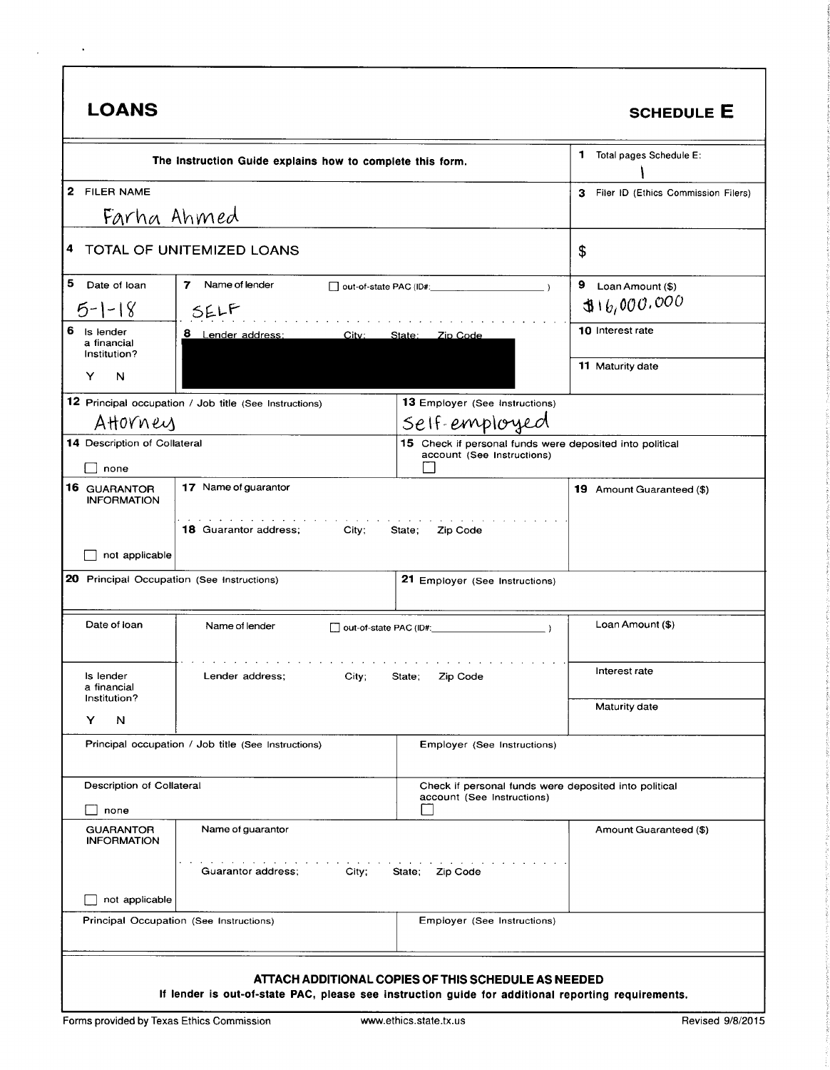| LOANS |  |
|-------|--|
|-------|--|

 $\sim$   $\sim$ 

 $\mathcal{L}$ 

#### SCHEDULE E

|                                               | The Instruction Guide explains how to complete this form.                                          |                                                                                        | 1<br>Total pages Schedule E:              |
|-----------------------------------------------|----------------------------------------------------------------------------------------------------|----------------------------------------------------------------------------------------|-------------------------------------------|
| 2 FILER NAME                                  |                                                                                                    |                                                                                        | Filer ID (Ethics Commission Filers)<br>З. |
| Farha Ahmed                                   |                                                                                                    |                                                                                        |                                           |
| 4                                             | TOTAL OF UNITEMIZED LOANS                                                                          |                                                                                        | \$                                        |
| 5<br>Date of loan                             | 7<br>Name of lender                                                                                |                                                                                        | 9 $Loan Amount ($)$                       |
| $5-1-18$                                      | SELF                                                                                               | 316,000.000                                                                            |                                           |
| 6<br>Is lender<br>a financial<br>Institution? | 8 Lender address:<br>City:                                                                         | State: Zip Code                                                                        | 10 Interest rate                          |
| N<br>Y                                        |                                                                                                    |                                                                                        | <b>11 Maturity date</b>                   |
|                                               | 12 Principal occupation / Job title (See Instructions)                                             | <b>13</b> Employer (See Instructions)                                                  |                                           |
| AHOVNey                                       |                                                                                                    | Self-employed                                                                          |                                           |
| 14 Description of Collateral<br>none          |                                                                                                    | 15 Check if personal funds were deposited into political<br>account (See Instructions) |                                           |
| 16 GUARANTOR<br><b>INFORMATION</b>            | 17 Name of guarantor                                                                               |                                                                                        | 19 Amount Guaranteed (\$)                 |
|                                               | <b>18 Guarantor address;</b><br>City;                                                              | State;<br>Zip Code                                                                     |                                           |
| not applicable                                |                                                                                                    |                                                                                        |                                           |
| 20 Principal Occupation (See Instructions)    |                                                                                                    | 21 Employer (See Instructions)                                                         |                                           |
| Date of loan                                  | Name of lender                                                                                     | $\Box$ out-of-state PAC (ID#: $\Box$ )                                                 | Loan Amount (\$)                          |
| Is lender<br>a financial<br>Institution?      | Lender address;<br>City;                                                                           | Zip Code<br>State;                                                                     | Interest rate                             |
| N<br>Y                                        |                                                                                                    |                                                                                        | <b>Maturity date</b>                      |
|                                               | Principal occupation / Job title (See Instructions)                                                | Employer (See Instructions)                                                            |                                           |
| Description of Collateral                     |                                                                                                    | Check if personal funds were deposited into political                                  |                                           |
| none                                          |                                                                                                    | account (See Instructions)                                                             |                                           |
| <b>GUARANTOR</b><br><b>INFORMATION</b>        | Name of guarantor                                                                                  |                                                                                        | Amount Guaranteed (\$)                    |
|                                               | Guarantor address;<br>City;                                                                        | State; Zip Code                                                                        |                                           |
| not applicable                                |                                                                                                    |                                                                                        |                                           |
|                                               | Principal Occupation (See Instructions)                                                            | Employer (See Instructions)                                                            |                                           |
|                                               |                                                                                                    |                                                                                        |                                           |
|                                               |                                                                                                    | ATTACH ADDITIONAL COPIES OF THIS SCHEDULE AS NEEDED                                    |                                           |
|                                               | If lender is out-of-state PAC, please see instruction guide for additional reporting requirements. |                                                                                        |                                           |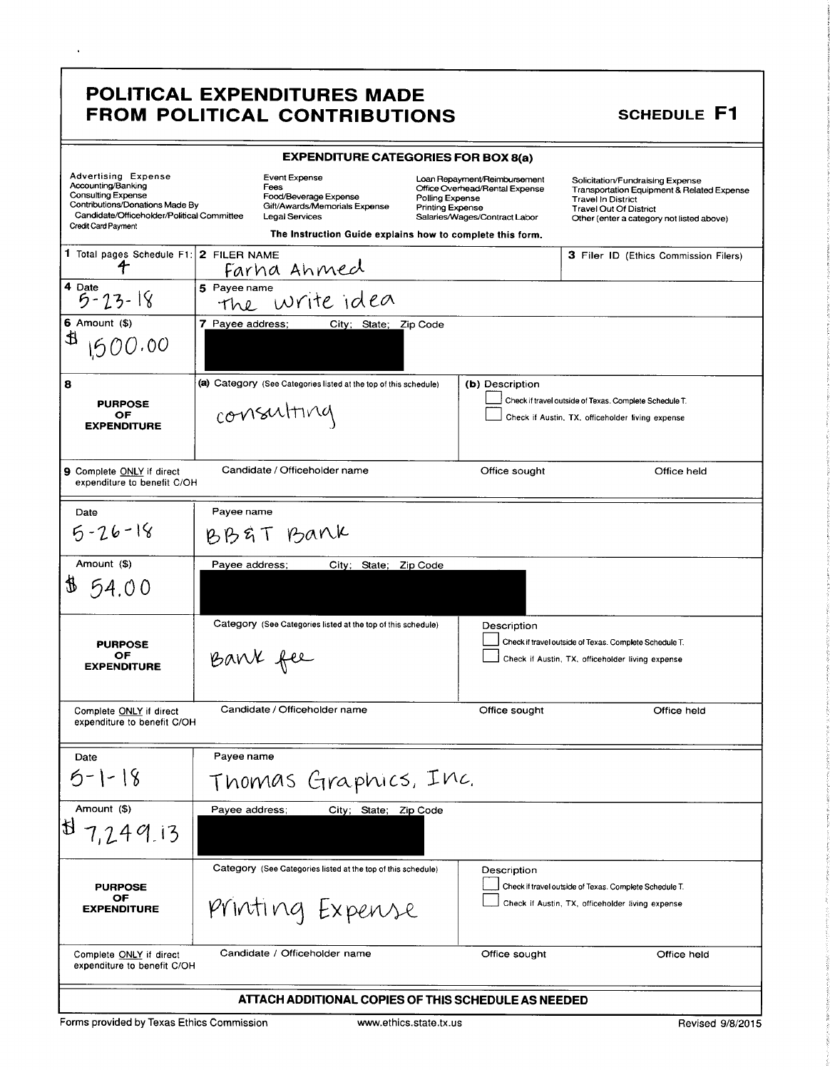## POLITICAL EXPENDITURES MADE FROM POLITICAL CONTRIBUTIONS

 $\ddot{\phantom{0}}$ 

## **SCHEDULE F1**

|                                                                                                                                                                                       | <b>EXPENDITURE CATEGORIES FOR BOX 8(a)</b>                                                                                                                     |                                                                                                                                               |                                                                                                                                                                                           |  |
|---------------------------------------------------------------------------------------------------------------------------------------------------------------------------------------|----------------------------------------------------------------------------------------------------------------------------------------------------------------|-----------------------------------------------------------------------------------------------------------------------------------------------|-------------------------------------------------------------------------------------------------------------------------------------------------------------------------------------------|--|
| Advertising Expense<br>Accounting/Banking<br><b>Consulting Expense</b><br>Contributions/Donations Made By<br>Candidate/Officeholder/Political Committee<br><b>Credit Card Payment</b> | Event Expense<br>Fees<br>Food/Beverage Expense<br>Gift/Awards/Memorials Expense<br>Legal Services<br>The Instruction Guide explains how to complete this form. | Loan Repayment/Reimbursement<br>Office Overhead/Rental Expense<br>Polling Expense<br><b>Printing Expense</b><br>Salaries/Wages/Contract Labor | Solicitation/Fundraising Expense<br>Transportation Equipment & Related Expense<br><b>Travel In District</b><br><b>Travel Out Of District</b><br>Other (enter a category not listed above) |  |
| 1 Total pages Schedule F1: 2 FILER NAME                                                                                                                                               | <u>Farha Ahmed</u>                                                                                                                                             |                                                                                                                                               | <b>3 Filer ID (Ethics Commission Filers)</b>                                                                                                                                              |  |
| 4 Date<br>$5 - 23 - 18$                                                                                                                                                               | 5 Payee name<br>the write idea                                                                                                                                 |                                                                                                                                               |                                                                                                                                                                                           |  |
| $6$ Amount $(*)$                                                                                                                                                                      | 7 Payee address;<br>City; State; Zip Code                                                                                                                      |                                                                                                                                               |                                                                                                                                                                                           |  |
| ⋬<br>1500.00                                                                                                                                                                          |                                                                                                                                                                |                                                                                                                                               |                                                                                                                                                                                           |  |
| 8                                                                                                                                                                                     | (a) Category (See Categories listed at the top of this schedule)                                                                                               | (b) Description                                                                                                                               |                                                                                                                                                                                           |  |
| <b>PURPOSE</b><br>OF<br><b>EXPENDITURE</b>                                                                                                                                            | Check if travel outside of Texas. Complete Schedule T.<br>consulting<br>Check if Austin, TX, officeholder living expense                                       |                                                                                                                                               |                                                                                                                                                                                           |  |
| 9 Complete ONLY if direct<br>expenditure to benefit C/OH                                                                                                                              | Candidate / Officeholder name                                                                                                                                  | Office sought                                                                                                                                 | Office held                                                                                                                                                                               |  |
| Date                                                                                                                                                                                  | Payee name                                                                                                                                                     |                                                                                                                                               |                                                                                                                                                                                           |  |
| $5 - 26 - 18$                                                                                                                                                                         | BB&T Bank                                                                                                                                                      |                                                                                                                                               |                                                                                                                                                                                           |  |
| Amount (\$)                                                                                                                                                                           | Payee address;<br>City; State;                                                                                                                                 | Zip Code                                                                                                                                      |                                                                                                                                                                                           |  |
| 154.00                                                                                                                                                                                |                                                                                                                                                                |                                                                                                                                               |                                                                                                                                                                                           |  |
|                                                                                                                                                                                       | Category (See Categories listed at the top of this schedule)                                                                                                   | Description                                                                                                                                   |                                                                                                                                                                                           |  |
| <b>PURPOSE</b><br>ОF<br><b>EXPENDITURE</b>                                                                                                                                            | Bank fee                                                                                                                                                       |                                                                                                                                               | Check if travel outside of Texas. Complete Schedule T.<br>Check if Austin, TX, officeholder living expense                                                                                |  |
|                                                                                                                                                                                       |                                                                                                                                                                |                                                                                                                                               |                                                                                                                                                                                           |  |
| Complete ONLY if direct<br>expenditure to benefit C/OH                                                                                                                                | Candidate / Officeholder name                                                                                                                                  | Office sought                                                                                                                                 | Office held                                                                                                                                                                               |  |
| Date                                                                                                                                                                                  | Payee name                                                                                                                                                     |                                                                                                                                               |                                                                                                                                                                                           |  |
| $5 - 1 - 18$                                                                                                                                                                          | Thomas Graphics, Inc.                                                                                                                                          |                                                                                                                                               |                                                                                                                                                                                           |  |
| Amount (\$)                                                                                                                                                                           | Payee address;<br>City; State; Zip Code                                                                                                                        |                                                                                                                                               |                                                                                                                                                                                           |  |
| 187,249.13                                                                                                                                                                            |                                                                                                                                                                |                                                                                                                                               |                                                                                                                                                                                           |  |
|                                                                                                                                                                                       | Category (See Categories listed at the top of this schedule)                                                                                                   | Description                                                                                                                                   |                                                                                                                                                                                           |  |
| <b>PURPOSE</b><br>OF<br><b>EXPENDITURE</b>                                                                                                                                            | Printing Expense                                                                                                                                               |                                                                                                                                               | Check if travel outside of Texas. Complete Schedule T.<br>Check if Austin, TX, officeholder living expense                                                                                |  |
| Complete ONLY if direct<br>expenditure to benefit C/OH                                                                                                                                | Candidate / Officeholder name                                                                                                                                  | Office sought                                                                                                                                 | Office held                                                                                                                                                                               |  |
| ATTACH ADDITIONAL COPIES OF THIS SCHEDULE AS NEEDED                                                                                                                                   |                                                                                                                                                                |                                                                                                                                               |                                                                                                                                                                                           |  |

Forms provided by Texas Ethics Commission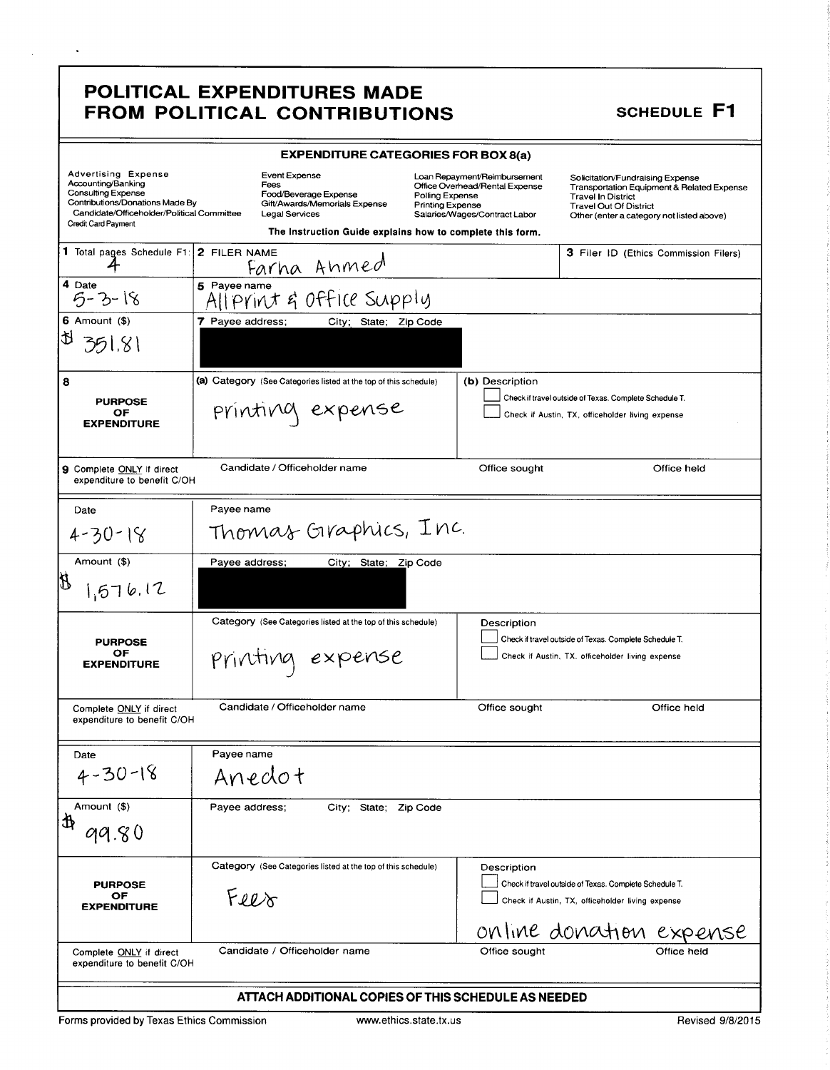### POLITICAL EXPENDITURES MADE FROM POLITICAL CONTRIBUTIONS

 $\langle \cdot \rangle$ 

### **SCHEDULE F1**

| <b>Advertising Expense</b><br>Accounting/Banking<br>Consulting Expense<br>Contributions/Donations Made By<br>Credit Card Payment | <b>EXPENDITURE CATEGORIES FOR BOX 8(a)</b><br>Event Expense<br>Loan Repayment/Reimbursement<br>Fees<br>Office Overhead/Rental Expense<br>Food/Beverage Expense<br>Polling Expense<br>Gift/Awards/Memorials Expense<br><b>Printing Expense</b><br>Candidate/Officeholder/Political Committee<br>Legal Services<br>Salaries/Wages/Contract Labor |                                                                  |  | Solicitation/Fundraising Expense<br><b>Travel In District</b><br><b>Travel Out Of District</b><br>Other (enter a category not listed above) | <b>Transportation Equipment &amp; Related Expense</b>                                                      |                                       |
|----------------------------------------------------------------------------------------------------------------------------------|------------------------------------------------------------------------------------------------------------------------------------------------------------------------------------------------------------------------------------------------------------------------------------------------------------------------------------------------|------------------------------------------------------------------|--|---------------------------------------------------------------------------------------------------------------------------------------------|------------------------------------------------------------------------------------------------------------|---------------------------------------|
|                                                                                                                                  |                                                                                                                                                                                                                                                                                                                                                | The Instruction Guide explains how to complete this form.        |  |                                                                                                                                             |                                                                                                            |                                       |
| 1 Total pages Schedule F1: 2 FILER NAME                                                                                          |                                                                                                                                                                                                                                                                                                                                                | Farha Ahmed                                                      |  |                                                                                                                                             |                                                                                                            | 3 Filer ID (Ethics Commission Filers) |
| 4 Date<br>$5 - 3 - 18$                                                                                                           | 5 Payee name                                                                                                                                                                                                                                                                                                                                   | All Print & Office Supply                                        |  |                                                                                                                                             |                                                                                                            |                                       |
| $6$ Amount $(9)$                                                                                                                 | 7 Payee address;                                                                                                                                                                                                                                                                                                                               | City; State; Zip Code                                            |  |                                                                                                                                             |                                                                                                            |                                       |
| D<br>351.81                                                                                                                      |                                                                                                                                                                                                                                                                                                                                                |                                                                  |  |                                                                                                                                             |                                                                                                            |                                       |
| 8                                                                                                                                |                                                                                                                                                                                                                                                                                                                                                | (a) Category (See Categories listed at the top of this schedule) |  | (b) Description                                                                                                                             |                                                                                                            |                                       |
| <b>PURPOSE</b><br>OF<br><b>EXPENDITURE</b>                                                                                       |                                                                                                                                                                                                                                                                                                                                                | printing expense                                                 |  |                                                                                                                                             | Check if travel outside of Texas. Complete Schedule T.<br>Check if Austin, TX, officeholder living expense |                                       |
| 9 Complete ONLY if direct<br>expenditure to benefit C/OH                                                                         |                                                                                                                                                                                                                                                                                                                                                | Candidate / Officeholder name                                    |  | Office sought                                                                                                                               |                                                                                                            | Office held                           |
| Date                                                                                                                             | Payee name                                                                                                                                                                                                                                                                                                                                     |                                                                  |  |                                                                                                                                             |                                                                                                            |                                       |
| $4 - 30 - 18$                                                                                                                    |                                                                                                                                                                                                                                                                                                                                                | Thomas Graphics, Inc.                                            |  |                                                                                                                                             |                                                                                                            |                                       |
| Amount (\$)                                                                                                                      | Payee address;                                                                                                                                                                                                                                                                                                                                 | City; State; Zip Code                                            |  |                                                                                                                                             |                                                                                                            |                                       |
| 1,576.12                                                                                                                         |                                                                                                                                                                                                                                                                                                                                                |                                                                  |  |                                                                                                                                             |                                                                                                            |                                       |
| <b>PURPOSE</b>                                                                                                                   |                                                                                                                                                                                                                                                                                                                                                | Category (See Categories listed at the top of this schedule)     |  | Description                                                                                                                                 | Check if travel outside of Texas. Complete Schedule T.                                                     |                                       |
| ОF<br><b>EXPENDITURE</b>                                                                                                         |                                                                                                                                                                                                                                                                                                                                                | printing expense                                                 |  |                                                                                                                                             | Check if Austin, TX, officeholder living expense                                                           |                                       |
| Complete ONLY if direct<br>expenditure to benefit C/OH                                                                           |                                                                                                                                                                                                                                                                                                                                                | Candidate / Officeholder name                                    |  | Office sought                                                                                                                               |                                                                                                            | Office held                           |
| Date                                                                                                                             | Payee name                                                                                                                                                                                                                                                                                                                                     |                                                                  |  |                                                                                                                                             |                                                                                                            |                                       |
| $4 - 30 - 18$                                                                                                                    | Anedot                                                                                                                                                                                                                                                                                                                                         |                                                                  |  |                                                                                                                                             |                                                                                                            |                                       |
| Amount (\$)                                                                                                                      | Payee address;                                                                                                                                                                                                                                                                                                                                 | City; State; Zip Code                                            |  |                                                                                                                                             |                                                                                                            |                                       |
| 赴<br>99.80                                                                                                                       |                                                                                                                                                                                                                                                                                                                                                |                                                                  |  |                                                                                                                                             |                                                                                                            |                                       |
|                                                                                                                                  |                                                                                                                                                                                                                                                                                                                                                | Category (See Categories listed at the top of this schedule)     |  | Description                                                                                                                                 |                                                                                                            |                                       |
| <b>PURPOSE</b>                                                                                                                   |                                                                                                                                                                                                                                                                                                                                                |                                                                  |  |                                                                                                                                             | Check if travel outside of Texas. Complete Schedule T.                                                     |                                       |
| OF<br><b>EXPENDITURE</b>                                                                                                         | Feer                                                                                                                                                                                                                                                                                                                                           |                                                                  |  |                                                                                                                                             | Check if Austin, TX, officeholder living expense                                                           |                                       |
|                                                                                                                                  |                                                                                                                                                                                                                                                                                                                                                |                                                                  |  |                                                                                                                                             |                                                                                                            | online donation expense               |
| Complete ONLY if direct<br>expenditure to benefit C/OH                                                                           |                                                                                                                                                                                                                                                                                                                                                | Candidate / Officeholder name                                    |  | Office sought                                                                                                                               |                                                                                                            | Office held                           |
|                                                                                                                                  |                                                                                                                                                                                                                                                                                                                                                | ATTACH ADDITIONAL COPIES OF THIS SCHEDULE AS NEEDED              |  |                                                                                                                                             |                                                                                                            |                                       |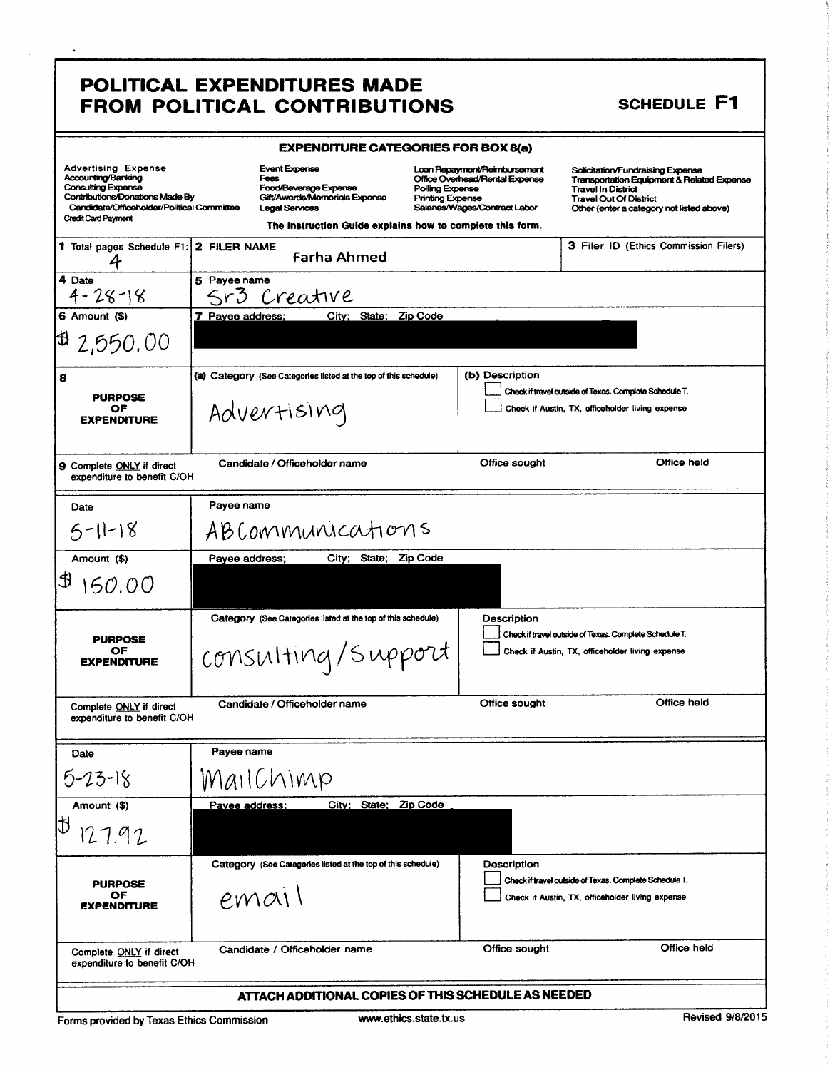## POLITICAL EXPENDITURES MADE FROM POLITICAL CONTRIBUTIONS SCHEDULE F1

 $\ddot{\phantom{0}}$ 

| <b>EXPENDITURE CATEGORIES FOR BOX 8(a)</b>                                                                                                                                                          |                     |                                                                                                                                                                              |                                                   |                                                                                                 |                                                                                                                                                                                                      |
|-----------------------------------------------------------------------------------------------------------------------------------------------------------------------------------------------------|---------------------|------------------------------------------------------------------------------------------------------------------------------------------------------------------------------|---------------------------------------------------|-------------------------------------------------------------------------------------------------|------------------------------------------------------------------------------------------------------------------------------------------------------------------------------------------------------|
| <b>Advertising Expense</b><br>Accounting/Banking<br><b>Consulting Expense</b><br><b>Contributions/Donations Made By</b><br>Candidate/Officeholder/Political Committee<br><b>Credit Card Payment</b> |                     | <b>Event Expense</b><br>Fees<br>Food/Beverage Expense<br>Gift/Awards/Memorials Expense<br><b>Legal Services</b><br>The Instruction Guide explains how to complete this form. | <b>Polling Expense</b><br><b>Printing Expense</b> | Loan Repayment/Reimbursement<br>Office Overhead/Rental Expense<br>Salaries/Wages/Contract Labor | Solicitation/Fundraising Expense<br><b>Transportation Equipment &amp; Related Expense</b><br><b>Travel In District</b><br><b>Travel Out Of District</b><br>Other (enter a category not listed above) |
| 1 Total pages Schedule F1:                                                                                                                                                                          | 2 FILER NAME        | <b>Farha Ahmed</b>                                                                                                                                                           |                                                   |                                                                                                 | <b>3 Filer ID (Ethics Commission Filers)</b>                                                                                                                                                         |
| 4 Date<br>$4 - 28 - 18$                                                                                                                                                                             | 5 Payee name<br>Srs | Creative                                                                                                                                                                     |                                                   |                                                                                                 |                                                                                                                                                                                                      |
| 6 Amount (\$)                                                                                                                                                                                       | 7 Payee address;    |                                                                                                                                                                              | City; State; Zip Code                             |                                                                                                 |                                                                                                                                                                                                      |
| $\uplus$ 2,550.00                                                                                                                                                                                   |                     |                                                                                                                                                                              |                                                   |                                                                                                 |                                                                                                                                                                                                      |
| 8<br><b>PURPOSE</b><br>OF<br><b>EXPENDITURE</b>                                                                                                                                                     |                     | (a) Category (See Categories listed at the top of this schedule)<br>Advertising                                                                                              |                                                   | (b) Description                                                                                 | Check if travel outside of Texas. Complete Schedule T.<br>Check if Austin, TX, officeholder living expense                                                                                           |
| 9 Complete ONLY if direct<br>expenditure to benefit C/OH                                                                                                                                            |                     | Candidate / Officeholder name                                                                                                                                                |                                                   | Office sought                                                                                   | Office held                                                                                                                                                                                          |
| Date                                                                                                                                                                                                | Payee name          |                                                                                                                                                                              |                                                   |                                                                                                 |                                                                                                                                                                                                      |
| $5 - 11 - 18$                                                                                                                                                                                       |                     | ABCommunications                                                                                                                                                             |                                                   |                                                                                                 |                                                                                                                                                                                                      |
| Amount (\$)                                                                                                                                                                                         | Payee address;      |                                                                                                                                                                              | City; State; Zip Code                             |                                                                                                 |                                                                                                                                                                                                      |
| l U<br>150.00                                                                                                                                                                                       |                     |                                                                                                                                                                              |                                                   |                                                                                                 |                                                                                                                                                                                                      |
| <b>PURPOSE</b><br>OF<br><b>EXPENDITURE</b>                                                                                                                                                          |                     | Category (See Categories listed at the top of this schedule)<br>consulting/support                                                                                           |                                                   | Description                                                                                     | Check if travel outside of Texas. Complete Schedule T.<br>Check if Austin, TX, officeholder living expense                                                                                           |
| Complete ONLY if direct<br>expenditure to benefit C/OH                                                                                                                                              |                     | Candidate / Officeholder name                                                                                                                                                |                                                   | Office sought                                                                                   | Office held                                                                                                                                                                                          |
| Date                                                                                                                                                                                                | Payee name          |                                                                                                                                                                              |                                                   |                                                                                                 |                                                                                                                                                                                                      |
| $5 - 23 - 18$                                                                                                                                                                                       |                     | MailChimp                                                                                                                                                                    |                                                   |                                                                                                 |                                                                                                                                                                                                      |
| Amount (\$)                                                                                                                                                                                         | Pavee address;      |                                                                                                                                                                              | City; State; Zip Code                             |                                                                                                 |                                                                                                                                                                                                      |
| ID<br>127.92                                                                                                                                                                                        |                     |                                                                                                                                                                              |                                                   |                                                                                                 |                                                                                                                                                                                                      |
| <b>PURPOSE</b><br>OF<br><b>EXPENDITURE</b>                                                                                                                                                          |                     | Category (See Categories listed at the top of this schedule)<br>email                                                                                                        |                                                   | Description                                                                                     | Check if travel outside of Texas. Complete Schedule T.<br>Check if Austin, TX, officeholder living expense                                                                                           |
| Complete ONLY if direct<br>expenditure to benefit C/OH                                                                                                                                              |                     | Candidate / Officeholder name                                                                                                                                                |                                                   | Office sought                                                                                   | Office held                                                                                                                                                                                          |
|                                                                                                                                                                                                     |                     | ATTACH ADDITIONAL COPIES OF THIS SCHEDULE AS NEEDED                                                                                                                          |                                                   |                                                                                                 |                                                                                                                                                                                                      |

Forms provided by Texas Ethics Commission www.ethics.state.tx.us Revised 9/8/2015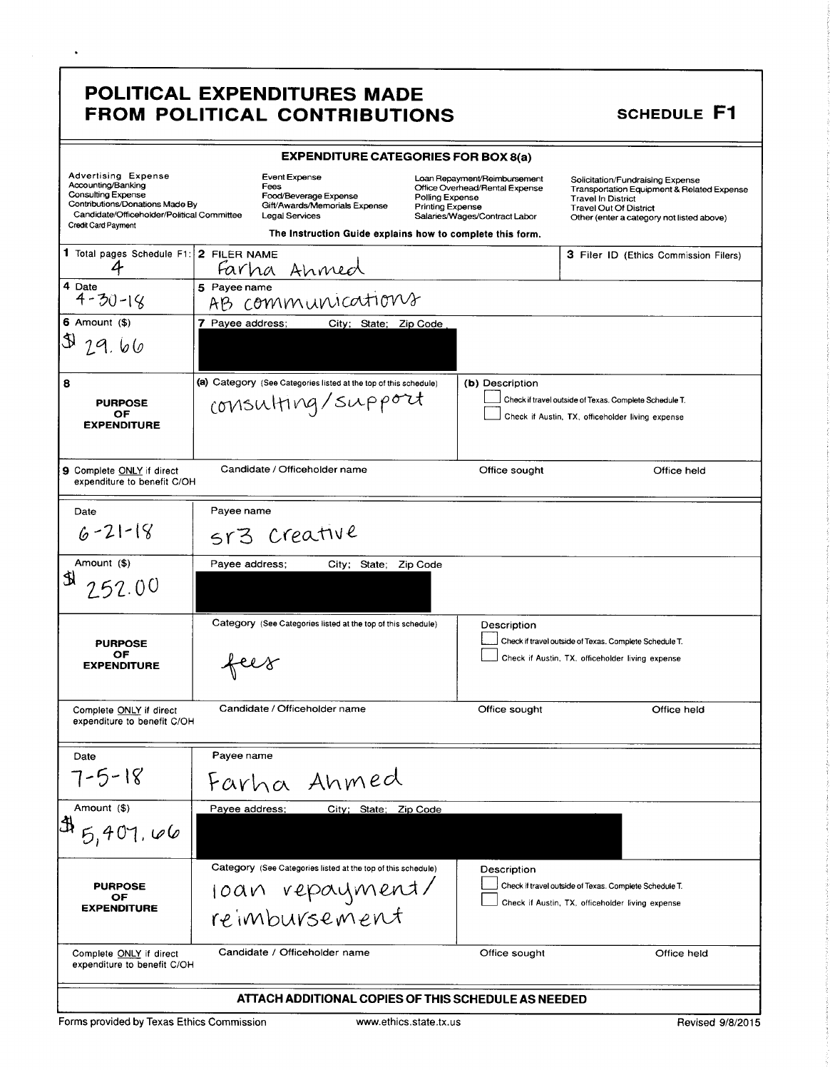## POLITICAL EXPENDITURES MADE FROM POLITICAL CONTRIBUTIONS SCHEDULE F1

 $\ddot{\phantom{a}}$ 

| <b>EXPENDITURE CATEGORIES FOR BOX 8(a)</b>                                                                                                                                            |                                                              |                                                                                                                                                                       |                                                                  |                                            |                                                                                                                           |                                                                                                |                                                                                         |  |
|---------------------------------------------------------------------------------------------------------------------------------------------------------------------------------------|--------------------------------------------------------------|-----------------------------------------------------------------------------------------------------------------------------------------------------------------------|------------------------------------------------------------------|--------------------------------------------|---------------------------------------------------------------------------------------------------------------------------|------------------------------------------------------------------------------------------------|-----------------------------------------------------------------------------------------|--|
| <b>Advertising Expense</b><br>Accounting/Banking<br><b>Consulting Expense</b><br>Contributions/Donations Made By<br>Candidate/Officeholder/Political Committee<br>Credit Card Payment |                                                              | <b>Event Expense</b><br>Fees<br>Food/Beverage Expense<br>Gift/Awards/Memorials Expense<br>Legal Services<br>The Instruction Guide explains how to complete this form. |                                                                  | Polling Expense<br><b>Printing Expense</b> | Loan Repayment/Reimbursement<br>Office Overhead/Rental Expense<br>Salaries/Wages/Contract Labor                           | Solicitation/Fundraising Expense<br><b>Travel In District</b><br><b>Travel Out Of District</b> | Transportation Equipment & Related Expense<br>Other (enter a category not listed above) |  |
| 1 Total pages Schedule F1: 2 FILER NAME                                                                                                                                               |                                                              |                                                                                                                                                                       |                                                                  |                                            |                                                                                                                           |                                                                                                | 3 Filer ID (Ethics Commission Filers)                                                   |  |
| 4 Date<br>$4 - 30 - 18$                                                                                                                                                               | 5 Payee name<br>AB                                           |                                                                                                                                                                       | Farha Ahmed<br>Payeename<br>rB communications                    |                                            |                                                                                                                           |                                                                                                |                                                                                         |  |
| 6 Amount $(\$)$                                                                                                                                                                       | 7 Payee address;                                             |                                                                                                                                                                       | City; State; Zip Code                                            |                                            |                                                                                                                           |                                                                                                |                                                                                         |  |
| 31, 79, 66                                                                                                                                                                            |                                                              |                                                                                                                                                                       |                                                                  |                                            |                                                                                                                           |                                                                                                |                                                                                         |  |
| 8                                                                                                                                                                                     |                                                              |                                                                                                                                                                       | (a) Category (See Categories listed at the top of this schedule) |                                            | (b) Description                                                                                                           |                                                                                                |                                                                                         |  |
| <b>PURPOSE</b><br>OF<br><b>EXPENDITURE</b>                                                                                                                                            | consulting/support                                           |                                                                                                                                                                       |                                                                  |                                            | Check if travel outside of Texas. Complete Schedule T.<br>Check if Austin, TX, officeholder living expense                |                                                                                                |                                                                                         |  |
| <b>9</b> Complete ONLY if direct<br>expenditure to benefit C/OH                                                                                                                       |                                                              |                                                                                                                                                                       | Candidate / Officeholder name                                    |                                            | Office sought                                                                                                             |                                                                                                | Office held                                                                             |  |
| Date                                                                                                                                                                                  | Payee name                                                   |                                                                                                                                                                       |                                                                  |                                            |                                                                                                                           |                                                                                                |                                                                                         |  |
| $6 - 21 - 18$                                                                                                                                                                         | 5r3                                                          |                                                                                                                                                                       | Creative                                                         |                                            |                                                                                                                           |                                                                                                |                                                                                         |  |
| Amount (\$)                                                                                                                                                                           | Payee address:                                               |                                                                                                                                                                       | City; State; Zip Code                                            |                                            |                                                                                                                           |                                                                                                |                                                                                         |  |
| S)<br>252.00                                                                                                                                                                          |                                                              |                                                                                                                                                                       |                                                                  |                                            |                                                                                                                           |                                                                                                |                                                                                         |  |
|                                                                                                                                                                                       | Category (See Categories listed at the top of this schedule) |                                                                                                                                                                       |                                                                  |                                            | Description<br>Check if travel outside of Texas. Complete Schedule T.<br>Check if Austin, TX, officeholder living expense |                                                                                                |                                                                                         |  |
| <b>PURPOSE</b><br>ОF<br><b>EXPENDITURE</b>                                                                                                                                            | fees                                                         |                                                                                                                                                                       |                                                                  |                                            |                                                                                                                           |                                                                                                |                                                                                         |  |
| Complete ONLY if direct<br>expenditure to benefit C/OH                                                                                                                                |                                                              |                                                                                                                                                                       | Candidate / Officeholder name                                    |                                            | Office sought                                                                                                             |                                                                                                | Office held                                                                             |  |
| Date                                                                                                                                                                                  | Payee name                                                   |                                                                                                                                                                       |                                                                  |                                            |                                                                                                                           |                                                                                                |                                                                                         |  |
| 7-5-18                                                                                                                                                                                |                                                              |                                                                                                                                                                       | Farha Ahmed                                                      |                                            |                                                                                                                           |                                                                                                |                                                                                         |  |
| Amount (\$)                                                                                                                                                                           | Payee address;                                               |                                                                                                                                                                       | City; State; Zip Code                                            |                                            |                                                                                                                           |                                                                                                |                                                                                         |  |
| $\mathfrak{B}_{5,401,106}$                                                                                                                                                            |                                                              |                                                                                                                                                                       |                                                                  |                                            |                                                                                                                           |                                                                                                |                                                                                         |  |
|                                                                                                                                                                                       |                                                              |                                                                                                                                                                       | Category (See Categories listed at the top of this schedule)     |                                            | Description                                                                                                               |                                                                                                |                                                                                         |  |
| <b>PURPOSE</b><br>OF                                                                                                                                                                  |                                                              |                                                                                                                                                                       |                                                                  |                                            | Check if travel outside of Texas. Complete Schedule T.<br>Check if Austin, TX, officeholder living expense                |                                                                                                |                                                                                         |  |
| <b>EXPENDITURE</b>                                                                                                                                                                    | Toan repayment/<br>reimbursement                             |                                                                                                                                                                       |                                                                  |                                            |                                                                                                                           |                                                                                                |                                                                                         |  |
| Candidate / Officeholder name<br>Office sought<br>Complete ONLY if direct<br>Office held<br>expenditure to benefit C/OH                                                               |                                                              |                                                                                                                                                                       |                                                                  |                                            |                                                                                                                           |                                                                                                |                                                                                         |  |
| ATTACH ADDITIONAL COPIES OF THIS SCHEDULE AS NEEDED                                                                                                                                   |                                                              |                                                                                                                                                                       |                                                                  |                                            |                                                                                                                           |                                                                                                |                                                                                         |  |